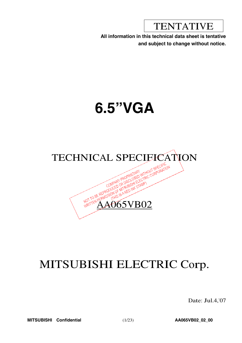TENTATIVE

**All information in this technical data sheet is tentative and subject to change without notice.**

# **6.5"VGA**



# MITSUBISHI ELECTRIC Corp.

Date: Jul.4,'07

**MITSUBISHI Confidential** (1/23) **AA065VB02\_02\_00**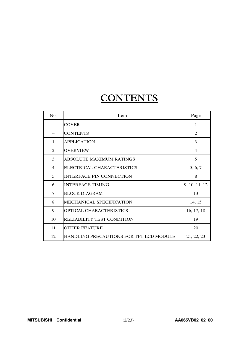# **CONTENTS**

| No. | Item                                           | Page           |
|-----|------------------------------------------------|----------------|
|     | <b>COVER</b>                                   | 1              |
|     | <b>CONTENTS</b>                                | 2              |
| 1   | <b>APPLICATION</b>                             | 3              |
| 2   | <b>OVERVIEW</b>                                | $\overline{4}$ |
| 3   | <b>ABSOLUTE MAXIMUM RATINGS</b>                | 5              |
| 4   | ELECTRICAL CHARACTERISTICS                     | 5, 6, 7        |
| 5   | <b>INTERFACE PIN CONNECTION</b>                | 8              |
| 6   | <b>INTERFACE TIMING</b>                        | 9, 10, 11, 12  |
| 7   | <b>BLOCK DIAGRAM</b>                           | 13             |
| 8   | <b>MECHANICAL SPECIFICATION</b>                | 14, 15         |
| 9   | <b>OPTICAL CHARACTERISTICS</b>                 | 16, 17, 18     |
| 10  | <b>RELIABILITY TEST CONDITION</b>              | 19             |
| 11  | <b>OTHER FEATURE</b>                           | 20             |
| 12  | <b>HANDLING PRECAUTIONS FOR TFT-LCD MODULE</b> | 21, 22, 23     |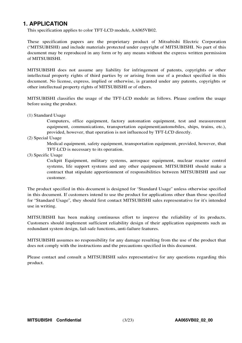# **1. APPLICATION**

This specification applies to color TFT-LCD module, AA065VB02.

These specification papers are the proprietary product of Mitsubishi Electric Corporation ("MITSUBISHI) and include materials protected under copyright of MITSUBISHI. No part of this document may be reproduced in any form or by any means without the express written permission of MITSUBISHI.

MITSUBISHI does not assume any liability for infringement of patents, copyrights or other intellectual property rights of third parties by or arising from use of a product specified in this document. No license, express, implied or otherwise, is granted under any patents, copyrights or other intellectual property rights of MITSUBISHI or of others.

MITSUBISHI classifies the usage of the TFT-LCD module as follows. Please confirm the usage before using the product.

(1) Standard Usage

Computers, office equipment, factory automation equipment, test and measurement equipment, communications, transportation equipment(automobiles, ships, trains, etc.), provided, however, that operation is not influenced by TFT-LCD directly.

(2) Special Usage

Medical equipment, safety equipment, transportation equipment, provided, however, that TFT-LCD is necessary to its operation.

(3) Specific Usage

Cockpit Equipment, military systems, aerospace equipment, nuclear reactor control systems, life support systems and any other equipment. MITSUBISHI should make a contract that stipulate apportionment of responsibilities between MITSUBISHI and our customer.

The product specified in this document is designed for "Standard Usage" unless otherwise specified in this document. If customers intend to use the product for applications other than those specified for "Standard Usage", they should first contact MITSUBISHI sales representative for it's intended use in writing.

MITSUBISHI has been making continuous effort to improve the reliability of its products. Customers should implement sufficient reliability design of their application equipments such as redundant system design, fail-safe functions, anti-failure features.

MITSUBISHI assumes no responsibility for any damage resulting from the use of the product that does not comply with the instructions and the precautions specified in this document.

Please contact and consult a MITSUBISHI sales representative for any questions regarding this product.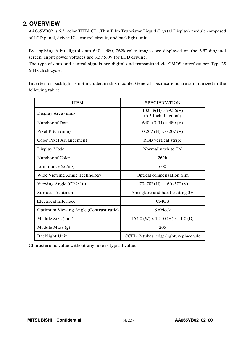# **2. OVERVIEW**

AA065VB02 is 6.5" color TFT-LCD (Thin Film Transistor Liquid Crystal Display) module composed of LCD panel, driver ICs, control circuit, and backlight unit.

By applying 6 bit digital data  $640 \times 480$ , 262k-color images are displayed on the 6.5" diagonal screen. Input power voltages are 3.3 / 5.0V for LCD driving.

The type of data and control signals are digital and transmitted via CMOS interface per Typ. 25 MHz clock cycle.

Inverter for backlight is not included in this module. General specifications are summarized in the following table:

| <b>ITEM</b>                            | <b>SPECIFICATION</b>                                  |
|----------------------------------------|-------------------------------------------------------|
| Display Area (mm)                      | $132.48(H) \times 99.36(V)$<br>$(6.5$ -inch diagonal) |
| Number of Dots                         | $640 \times 3$ (H) $\times 480$ (V)                   |
| Pixel Pitch (mm)                       | $0.207$ (H) $\times$ 0.207 (V)                        |
| <b>Color Pixel Arrangement</b>         | RGB vertical stripe                                   |
| Display Mode                           | Normally white TN                                     |
| Number of Color                        | 262k                                                  |
| Luminance (cd/m <sup>2</sup> )         | 600                                                   |
| Wide Viewing Angle Technology          | Optical compensation film                             |
| Viewing Angle ( $CR \ge 10$ )          | $-70-70^{\circ}$ (H) $-60-50^{\circ}$ (V)             |
| <b>Surface Treatment</b>               | Anti-glare and hard-coating 3H                        |
| Electrical Interface                   | <b>CMOS</b>                                           |
| Optimum Viewing Angle (Contrast ratio) | 6 o'clock                                             |
| Module Size (mm)                       | $154.0$ (W) $\times$ 121.0 (H) $\times$ 11.0 (D)      |
| Module Mass $(g)$                      | 205                                                   |
| <b>Backlight Unit</b>                  | CCFL, 2-tubes, edge-light, replaceable                |

Characteristic value without any note is typical value.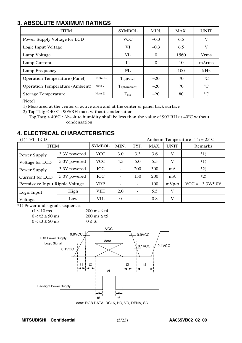# **3. ABSOLUTE MAXIMUM RATINGS**

| <b>ITEM</b>                                         | <b>SYMBOL</b>               | MIN.   | MAX. | <b>UNIT</b> |
|-----------------------------------------------------|-----------------------------|--------|------|-------------|
| Power Supply Voltage for LCD                        | <b>VCC</b>                  | $-0.3$ | 6.5  | V           |
| Logic Input Voltage                                 | VI                          | $-0.3$ | 6.5  | V           |
| Lamp Voltage                                        | <b>VL</b>                   | 0      | 1560 | <b>Vrms</b> |
| Lamp Current                                        | IL                          | 0      | 10   | mArms       |
| Lamp Frequency                                      | FL                          |        | 100  | kHz         |
| Note $1,2)$<br><b>Operation Temperature (Panel)</b> | $\Gamma_{\text{op(Panel)}}$ | $-20$  | 70   | $^{\circ}C$ |
| Note $2)$<br><b>Operation Temperature (Ambient)</b> | $T_{\text{op(Ambient)}}$    | $-20$  | 70   | $^{\circ}C$ |
| Note 2)<br><b>Storage Temperature</b>               | $T_{\text{stg}}$            | $-20$  | 80   | $^{\circ}C$ |

[Note]

1) Measured at the center of active area and at the center of panel back surface

2) Top, Tstg  $\leq 40^{\circ}$ C : 90%RH max. without condensation

<sup>T</sup>op,Tstg <sup>&</sup>gt; <sup>40</sup>°<sup>C</sup> : Absolute humidity shall be less than the value of <sup>90</sup>%RH at <sup>40</sup>°<sup>C</sup> without condensation.

# **4. ELECTRICAL CHARACTERISTICS**

| $(1)$ TFT-LCD                   |              |               |                   |      |      |             | Ambient Temperature : Ta = $25^{\circ}$ C |
|---------------------------------|--------------|---------------|-------------------|------|------|-------------|-------------------------------------------|
| <b>ITEM</b>                     |              | <b>SYMBOL</b> | MIN.              | TYP. | MAX. | <b>UNIT</b> | Remarks                                   |
| Power Supply                    | 3.3V powered |               | <b>VCC</b><br>3.0 |      | 3.6  | V           | $*1)$                                     |
| Voltage for LCD                 | 5.0V powered | <b>VCC</b>    | 4.5               | 5.0  | 5.5  | V           | $*1)$                                     |
| Power Supply                    | 3.3V powered | <b>ICC</b>    |                   | 200  | 300  | mA          | $*2)$                                     |
| Current for LCD                 | 5.0V powered | <b>ICC</b>    |                   | 150  | 200  | mA          | $*2)$                                     |
| Permissive Input Ripple Voltage |              | <b>VRP</b>    |                   |      | 100  | $mVp-p$     | $VCC = +3.3V/5.0V$                        |
| Logic Input                     | High         | <b>VIH</b>    | 2.0               |      | 5.5  | V           |                                           |
| Low<br>Voltage                  |              | VIL           | $\Omega$          |      | 0.8  | V           |                                           |

\*1) Power and signals sequence:

| t1 $\leq 10$ ms        | $200 \text{ ms} \leq t4$ |
|------------------------|--------------------------|
| $0 < t2 \le 50$ ms     | $200 \text{ ms} \leq t5$ |
| $0 < t$ 3 $\leq 50$ ms | $0 \leq t$               |

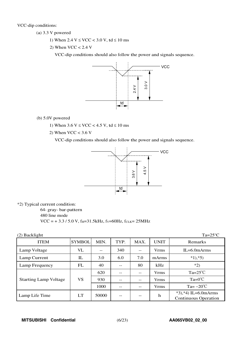VCC-dip conditions:

- $(a)$  3.3 V powered
	- 1) When  $2.4 \text{ V} \leq \text{VCC} < 3.0 \text{ V}$ , td  $\leq 10 \text{ ms}$
	- 2) When  $VCC < 2.4$  V

VCC-dip conditions should also follow the power and signals sequence.



(b) 5.0V powered

- 1) When  $3.6 \text{ V} \leq \text{VCC} < 4.5 \text{ V}$ , td  $\leq 10 \text{ ms}$
- 2) When  $VCC < 3.6$  V

VCC-dip conditions should also follow the power and signals sequence.



\*2) Typical current condition:

64- gray-bar-pattern 480 line mode  $VCC = +3.3 / 5.0 V$ , f<sub>H</sub>=31.5kHz, fy=60Hz, fcLK=25MHz

| $(2)$ Backlight              |               |       |       |      |             | $Ta=25^{\circ}C$                                      |
|------------------------------|---------------|-------|-------|------|-------------|-------------------------------------------------------|
| <b>ITEM</b>                  | <b>SYMBOL</b> | MIN.  | TYP.  | MAX. | <b>UNIT</b> | Remarks                                               |
| Lamp Voltage                 | VL            | --    | 340   | --   | <b>Vrms</b> | $IL=6.0$ m $Arms$                                     |
| Lamp Current                 | IL            | 3.0   | 6.0   | 7.0  | mArms       | $*1, *5)$                                             |
| Lamp Frequency               | FL            | 40    | $- -$ | 80   | kHz         | $*2)$                                                 |
|                              |               | 620   | --    | --   | <b>Vrms</b> | $Ta=25^{\circ}C$                                      |
| <b>Starting Lamp Voltage</b> | VS            | 930   | $- -$ | --   | <b>Vrms</b> | $Ta=0^{\circ}C$                                       |
|                              |               | 1000  | $- -$ | --   | <b>Vrms</b> | Ta= $-20^{\circ}$ C                                   |
| Lamp Life Time               | LT            | 50000 | --    | --   | h           | $*3, *4$ ) IL=6.0mArms<br><b>Continuous Operation</b> |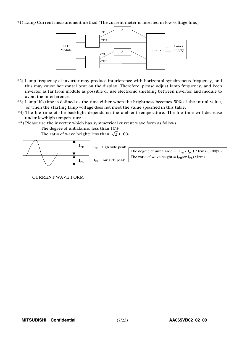### \*1) Lamp Current measurement method (The current meter is inserted in low voltage line.)



- \*2) Lamp frequency of inverter may produce interference with horizontal synchronous frequency, and this may cause horizontal beat on the display. Therefore, please adjust lamp frequency, and keep inverter as far from module as possible or use electronic shielding between inverter and module to avoid the interference.
- \*3) Lamp life time is defined as the time either when the brightness becomes 50% of the initial value, or when the starting lamp voltage does not meet the value specified in this table.
- \*4) The life time of the backlight depends on the ambient temperature. The life time will decrease under low/high temperature.
- \*5) Please use the inverter which has symmetrical current wave form as follows,

The degree of unbalance: less than 10%

The ratio of wave height: less than  $\sqrt{2} \pm 10\%$ 



## CURRENT WAVE FORM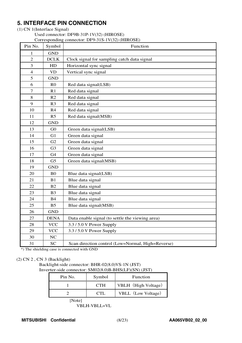# **5. INTERFACE PIN CONNECTION**

## (1) CN 1(Interface Signal)

Used connector: DF9B-31P-1V(32) (HIROSE) Corresponding connector: DF9-31S-1V(32) (HIROSE)

| Pin No.          | Symbol         | Corresponding connector: $DF9-315-1V(32)$ (HIROSE)<br>Function |
|------------------|----------------|----------------------------------------------------------------|
| 1                | <b>GND</b>     |                                                                |
| $\overline{2}$   | <b>DCLK</b>    | Clock signal for sampling catch data signal                    |
| $\mathfrak{Z}$   | HD             | Horizontal sync signal                                         |
| $\overline{4}$   | <b>VD</b>      | Vertical sync signal                                           |
| 5                | <b>GND</b>     |                                                                |
| 6                | R <sub>0</sub> | Red data signal(LSB)                                           |
| $\boldsymbol{7}$ | R1             | Red data signal                                                |
| 8                | R2             | Red data signal                                                |
| 9                | R <sub>3</sub> | Red data signal                                                |
| 10               | R4             | Red data signal                                                |
| 11               | R <sub>5</sub> | Red data signal(MSB)                                           |
| 12               | <b>GND</b>     |                                                                |
| 13               | G <sub>0</sub> | Green data signal(LSB)                                         |
| 14               | G1             | Green data signal                                              |
| 15               | G2             | Green data signal                                              |
| 16               | G <sub>3</sub> | Green data signal                                              |
| 17               | G <sub>4</sub> | Green data signal                                              |
| 18               | G <sub>5</sub> | Green data signal(MSB)                                         |
| 19               | <b>GND</b>     |                                                                |
| 20               | B <sub>0</sub> | Blue data signal(LSB)                                          |
| 21               | B1             | Blue data signal                                               |
| 22               | B2             | Blue data signal                                               |
| 23               | B <sub>3</sub> | Blue data signal                                               |
| 24               | <b>B4</b>      | Blue data signal                                               |
| 25               | B <sub>5</sub> | Blue data signal(MSB)                                          |
| 26               | <b>GND</b>     |                                                                |
| 27               | <b>DENA</b>    | Data enable signal (to settle the viewing area)                |
| 28               | <b>VCC</b>     | 3.3 / 5.0 V Power Supply                                       |
| 29               | <b>VCC</b>     | 3.3 / 5.0 V Power Supply                                       |
| 30               | $\rm NC$       |                                                                |
| 31               | <b>SC</b>      | Scan direction control (Low=Normal, High=Reverse)              |

\*) The shielding case is connected with GND

## (2) CN 2 , CN 3 (Backlight)

Backlight-side connector: BHR-02(8.0)VS-1N (JST) Inverter-side connector: SM02(8.0)B-BHS(LF)(SN) (JST)

| Pin No. | Symbol     | <b>Function</b>     |
|---------|------------|---------------------|
|         | <b>CTH</b> | VBLH (High Voltage) |
|         | CTL.       | VBLL (Low Voltage)  |
| [Note]  |            |                     |

VBLH-VBLL=VL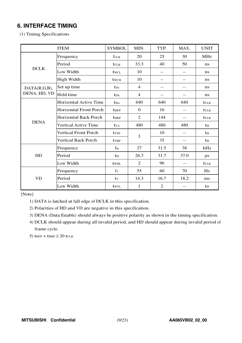# **6. INTERFACE TIMING**

(1) Timing Specifications

|              | <b>ITEM</b>                   | <b>SYMBOL</b>    | MIN.             | TYP.           | MAX.              | <b>UNIT</b>      |
|--------------|-------------------------------|------------------|------------------|----------------|-------------------|------------------|
|              | Frequency                     | fclk             | 20               | 25             | 30                | <b>MHz</b>       |
|              | Period                        | tclk             | 33.3             | 40             | 50                | ns               |
| <b>DCLK</b>  | Low Width                     | twcl             | 10               | $- -$          | $\qquad \qquad -$ | ns               |
|              | High Width                    | twc <sub>H</sub> | 10               | $- -$          | $\qquad \qquad -$ | ns               |
| DATA(R,G,B), | Set up time                   | $t_{\rm Ds}$     | $\overline{4}$   | $-$            | $\qquad \qquad -$ | ns               |
| DENA, HD, VD | Hold time                     | $t_{Dh}$         | $\overline{4}$   | --             | $\qquad \qquad -$ | ns               |
|              | <b>Horizontal Active Time</b> | <b>t</b> HA      | 640              | 640            | 640               | tclk             |
|              | <b>Horizontal Front Porch</b> | <b>t</b> HFP     | $\boldsymbol{0}$ | 16             | $-$               | tclk             |
|              | <b>Horizontal Back Porch</b>  | $t_{\rm HBP}$    | $\overline{2}$   | 144            | $\qquad \qquad -$ | t <sub>CLK</sub> |
| <b>DENA</b>  | Vertical Active Time          | tv <sub>A</sub>  | 480              | 480            | 480               | $t_{\rm H}$      |
|              | <b>Vertical Front Porch</b>   | tvFP             | 3                | 10             | $- -$             | $t_{\rm H}$      |
|              | Vertical Back Porch           | $t_{VBP}$        |                  | 35             | $- -$             | $t_{\rm H}$      |
|              | Frequency                     | $f_{\rm H}$      | 27               | 31.5           | 38                | kHz              |
| HD           | Period                        | t <sub>H</sub>   | 26.3             | 31.7           | 37.0              | $\mu s$          |
|              | Low Width                     | twhl             | $\overline{2}$   | 96             | $\qquad \qquad -$ | tclk             |
|              | Frequency                     | fy               | 55               | 60             | 70                | Hz               |
| <b>VD</b>    | Period                        | tv               | 14.3             | 16.7           | 18.2              | ms               |
|              | Low Width                     | twyl             | $\mathbf{1}$     | $\overline{2}$ | $- -$             | t <sub>H</sub>   |

[Note]

1) DATA is latched at fall edge of DCLK in this specification.

2) Polarities of HD and VD are negative in this specification.

3) DENA (Data Enable) should always be positive polarity as shown in the timing specification.

4) DCLK should appear during all invalid period, and HD should appear during invalid period of frame cycle.

5)  $t_{HFP} + t_{HBP} \geq 20$  t<sub>CLK</sub>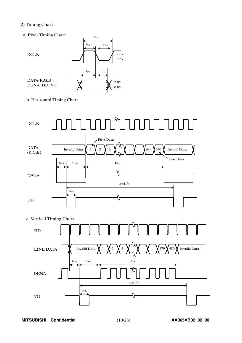## (2) Timing Chart

a. Pixel Timing Chart 2.0V 0.8V twc<sub>H</sub> twcL  $t_{\scriptstyle{\text{CLK}}}$  $t_{DS}$  |  $t_{DH}$ DCLK DATA(R,G,B), DENA, HD, VD  $\bigvee_{0.8\text{V}}$   $\bigvee_{0.8\text{V}}$ 2.0V

b. Horizontal Timing Chart



c. Vertical Timing Chart

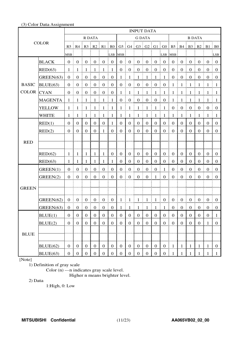## (3) Color Data Assignment

|                   |                |                  |                      | <b>INPUT DATA</b> |                                              |                                               |                                       |                  |                   |                                              |                                                 |                  |                  |                                                                                         |                        |                   |                  |                  |                                  |
|-------------------|----------------|------------------|----------------------|-------------------|----------------------------------------------|-----------------------------------------------|---------------------------------------|------------------|-------------------|----------------------------------------------|-------------------------------------------------|------------------|------------------|-----------------------------------------------------------------------------------------|------------------------|-------------------|------------------|------------------|----------------------------------|
|                   |                | R DATA           |                      |                   |                                              | <b>G DATA</b>                                 |                                       |                  |                   |                                              |                                                 | <b>B DATA</b>    |                  |                                                                                         |                        |                   |                  |                  |                                  |
| <b>COLOR</b>      |                |                  |                      |                   |                                              |                                               |                                       |                  |                   |                                              |                                                 |                  |                  | R5   R4   R3   R2   R1   R0   G5   G4   G3   G2   G1   G0   B5   B4   B3   B2   B1   B0 |                        |                   |                  |                  |                                  |
|                   |                | MSB              |                      |                   |                                              |                                               | LSB MSB                               |                  |                   |                                              |                                                 |                  | LSB MSB          |                                                                                         |                        |                   |                  |                  | LSB:                             |
|                   | <b>BLACK</b>   | 0 <sup>1</sup>   | $\mathbf{0}$         | $\overline{0}$    | $\frac{1}{2}$ 0                              | $\boldsymbol{0}$                              | $\begin{array}{c} 0 \\ 0 \end{array}$ | $\mathbf{0}$     | $\mathbf{0}$      | $\begin{matrix} 1 & 0 \\ 0 & 0 \end{matrix}$ | $\boldsymbol{0}$                                | $\boldsymbol{0}$ | $\overline{0}$   | $\overline{0}$                                                                          | Ŧ.<br>$\boldsymbol{0}$ | $\mathbf{0}$      | $\boldsymbol{0}$ | $\overline{0}$   | $\pm 0$                          |
|                   | RED(63)        | $\mathbf{1}$     | -1                   | -1                | - 1                                          | $\mathbf{1}$                                  | $\vdash$ 1                            | $\boldsymbol{0}$ | $\boldsymbol{0}$  | $\bf{0}$<br>I.                               | $\boldsymbol{0}$                                | $\boldsymbol{0}$ | $\overline{0}$   | $\mathbf{0}$                                                                            | $\boldsymbol{0}$<br>Ĩ. | $\boldsymbol{0}$  | $\boldsymbol{0}$ | $\mathbf{0}$     | $\bf{0}$                         |
|                   | GREEN(63)      | $0 \t 0$         |                      | $\overline{0}$    | $\begin{matrix} 1 & 0 \\ 0 & 0 \end{matrix}$ | $\overline{0}$<br>Ŧ.                          | $\begin{matrix} 1 & 0 \end{matrix}$   | $\mathbf{1}$     | $\overline{1}$    | $\frac{1}{2}$ 1                              | $\frac{1}{2}$ 1<br>÷                            | $\overline{1}$   | $\overline{1}$   | $\overline{0}$                                                                          | $\boldsymbol{0}$<br>ŧ. | $\mathbf{0}$<br>ŧ | $\boldsymbol{0}$ | $\bf{0}$         | $\vdots$ 0                       |
| <b>BASIC</b>      | BLUE(63)       |                  | $0 \nvert 0$         | $0 \neq 0$        |                                              | $\begin{array}{c} 0 & 0 \\ 0 & 0 \end{array}$ |                                       |                  | $0 \mid 0 \mid 0$ |                                              | $\begin{array}{c c} 0 & 0 \\ 0 & 0 \end{array}$ |                  |                  | $1 \nmid 1$                                                                             |                        | $\pm 1$           | $\pm 1$          | $\mathbf{1}$     | $\pm 1$                          |
| <b>COLOR</b> CYAN |                | 0 <sup>1</sup>   | $\boldsymbol{0}$     | $\mathbf{0}$      | $\frac{1}{2}$ 0                              | $\boldsymbol{0}$<br>÷.                        | $\vdots$ 0                            | $1 \nmid 1$      |                   | ÷<br>$\frac{1}{2}$ 1                         | $\overline{1}$                                  | $\frac{1}{2}$    | $\pm 1$          | $1 \nmid 1$                                                                             |                        | $\mathbf{1}$      | $\frac{1}{2}$    | - 1              | $\blacksquare$                   |
|                   | <b>MAGENTA</b> | -1               | -1                   | -1                | -1                                           | $\mathbf{1}$                                  | $\vdash 1$                            | $\mathbf{0}$     | $\boldsymbol{0}$  | $\mathbf{0}$<br>ŧ.                           | $\boldsymbol{0}$                                | $\boldsymbol{0}$ | $\vdots$ 0       | 1                                                                                       | $\mathbf{1}$           | -1                | -1               | -1               | $\pm 1$                          |
|                   | <b>YELLOW</b>  | 1:               | -1                   | $\pm$ 1           | 1<br>Ŧ.<br>÷                                 | $\mathbf{1}$                                  | $\frac{1}{2}$                         | 1 <sup>1</sup>   | $\overline{1}$    | $\mathbf{1}$<br>÷<br>ŧ.                      | $\mathbf{1}$                                    | $\mathbf{1}$     | $\mathbf{1}$     | $\boldsymbol{0}$                                                                        | $\boldsymbol{0}$<br>Ŧ. | $\boldsymbol{0}$  | $\boldsymbol{0}$ | $\boldsymbol{0}$ | $\begin{array}{c} 0 \end{array}$ |
|                   | <b>WHITE</b>   | -1               | -1                   | $\mathbf{1}$      | $\mathbf{1}$                                 | $\mathbf{1}$                                  | $\vdash$ 1                            | 1                | $\mathbf{1}$      | ŧ.<br>$\mathbf{1}$                           | $\mathbf{1}$                                    | $\mathbf{1}$     | $\mathbf{1}$     | 1                                                                                       | 1                      | -1                | $\mathbf{1}$     | -1               | - 1                              |
|                   | RED(1)         | $\overline{0}$   | $\mathbf{0}$         | $\overline{0}$    | $\boldsymbol{0}$                             | $\boldsymbol{0}$                              | -1                                    | $\overline{0}$   | $\overline{0}$    | $\boldsymbol{0}$                             | $\boldsymbol{0}$                                | $\boldsymbol{0}$ | $\boldsymbol{0}$ | $\overline{0}$                                                                          | $\overline{0}$         | $\overline{0}$    | $\boldsymbol{0}$ | $\mathbf{0}$     | $\mathbf{0}$                     |
|                   | RED(2)         | $\overline{0}$   | $\overline{0}$       | $\mathbf{0}$      | $\mathbf{0}$                                 | 1                                             | $\boldsymbol{0}$                      | $\overline{0}$   | $\overline{0}$    | $\mathbf{0}$                                 | $\mathbf{0}$                                    | $\boldsymbol{0}$ | $\boldsymbol{0}$ | $\overline{0}$                                                                          | $\mathbf{0}$           | $\mathbf{0}$      | $\mathbf{0}$     | $\overline{0}$   | $\boldsymbol{0}$                 |
|                   |                |                  |                      |                   |                                              |                                               |                                       |                  |                   |                                              |                                                 |                  |                  |                                                                                         |                        |                   |                  |                  |                                  |
| <b>RED</b>        |                |                  |                      |                   |                                              |                                               |                                       |                  |                   |                                              |                                                 |                  |                  |                                                                                         |                        |                   |                  |                  |                                  |
|                   | RED(62)        | -1               | $\mathbf{1}$         | $\mathbf{1}$      | $\mathbf{1}$                                 | $\mathbf{1}$                                  | $\boldsymbol{0}$                      | $\overline{0}$   | $\overline{0}$    | $\mathbf{0}$                                 | $\mathbf{0}$                                    | $\boldsymbol{0}$ | $\overline{0}$   | $\mathbf{0}$                                                                            | $\boldsymbol{0}$       | $\boldsymbol{0}$  | $\boldsymbol{0}$ | $\overline{0}$   | $\theta$                         |
|                   | RED(63)        | 1                | 1                    | 1                 | 1                                            | 1                                             | 1                                     | $\boldsymbol{0}$ | $\mathbf{0}$      | $\boldsymbol{0}$                             | $\mathbf{0}$                                    | $\mathbf{0}$     | $\boldsymbol{0}$ | $\overline{0}$                                                                          | $\mathbf{0}$           | $\mathbf{0}$      | $\mathbf{0}$     | $\mathbf{0}$     | $\theta$                         |
|                   | GREEN(1)       | $\overline{0}$   | $\boldsymbol{0}$     | $\boldsymbol{0}$  | $\boldsymbol{0}$                             | $\boldsymbol{0}$                              | $\mathbf{0}$                          | $\mathbf{0}$     | $\mathbf{0}$      | $\boldsymbol{0}$                             | $\boldsymbol{0}$                                | $\boldsymbol{0}$ | $\mathbf{1}$     | $\boldsymbol{0}$                                                                        | $\boldsymbol{0}$       | $\boldsymbol{0}$  | $\boldsymbol{0}$ | $\boldsymbol{0}$ | $\boldsymbol{0}$                 |
|                   | GREEN(2)       | 0 <sup>1</sup>   | $\mathbf{0}$         | $\boldsymbol{0}$  | $\boldsymbol{0}$                             | $\boldsymbol{0}$                              | $\overline{0}$<br>ŧ                   | $\boldsymbol{0}$ | $\boldsymbol{0}$  | $\boldsymbol{0}$<br>Ī<br>ŧ                   | $\boldsymbol{0}$                                | 1                | $\boldsymbol{0}$ | $\overline{0}$                                                                          | $\mathbf{0}$<br>ŧ.     | $\mathbf{0}$      | $\boldsymbol{0}$ | $\boldsymbol{0}$ | $\overline{0}$                   |
|                   |                |                  |                      |                   |                                              |                                               |                                       |                  |                   |                                              |                                                 |                  |                  |                                                                                         |                        |                   |                  |                  |                                  |
| <b>GREEN</b>      |                |                  |                      |                   |                                              |                                               |                                       |                  |                   |                                              |                                                 |                  |                  |                                                                                         |                        |                   |                  |                  |                                  |
|                   | GREEN(62)      | 0 <sup>1</sup>   | $\overline{0}$       | $\mathbf{0}$<br>÷ | $\overline{0}$                               | $\overline{0}$<br>÷                           | $\begin{array}{c} 0 \end{array}$      |                  | $1 \quad 1$       | ÷<br>$\pm 1$                                 | 4<br>$\mathbf{1}$                               | -1               | $\overline{0}$   | $0 \t0$                                                                                 |                        | $\boldsymbol{0}$  | $\boldsymbol{0}$ | $\overline{0}$   | $\overline{0}$                   |
|                   | GREEN(63)      | 0 <sup>1</sup>   | $\overline{0}$<br>-9 |                   | 0 0 0 0                                      |                                               | $\boldsymbol{0}$                      | $1\,$            |                   | $1 \mid 1 \mid$                              | $\,$ $\,$ $\,$<br>- 1                           | $\mathbf{1}$     | $\mathbf 1$      |                                                                                         | $0 \nvert 0$<br>÷Ē.    | $\mathbf{0}$      | 0                | $\overline{0}$   | $\bf{0}$                         |
|                   | BLUE(1)        | $\boldsymbol{0}$ | $\boldsymbol{0}$     | $\mathbf{0}$      | $\boldsymbol{0}$                             | $\bf{0}$                                      | $\boldsymbol{0}$                      | $\boldsymbol{0}$ | $\boldsymbol{0}$  | $\boldsymbol{0}$                             | $\boldsymbol{0}$                                | $\boldsymbol{0}$ | $\mathbf{0}$     | $\boldsymbol{0}$                                                                        | $\boldsymbol{0}$       | $\mathbf{0}$      | $\boldsymbol{0}$ | $\boldsymbol{0}$ | $\mathbf{1}$                     |
|                   | BLUE(2)        | $\mathbf{0}$     | $\mathbf{0}$         | $\boldsymbol{0}$  | $\boldsymbol{0}$                             | $\boldsymbol{0}$                              | $\boldsymbol{0}$                      | $\mathbf{0}$     | $\mathbf{0}$      | $\boldsymbol{0}$                             | $\boldsymbol{0}$                                | $\boldsymbol{0}$ | $\boldsymbol{0}$ | $\overline{0}$                                                                          | $\boldsymbol{0}$       | $\mathbf{0}$      | $\boldsymbol{0}$ | $\mathbf{1}$     | $\boldsymbol{0}$                 |
|                   |                |                  |                      |                   |                                              |                                               |                                       |                  |                   |                                              |                                                 |                  |                  |                                                                                         |                        |                   |                  |                  |                                  |
| <b>BLUE</b>       |                |                  |                      |                   |                                              |                                               |                                       |                  |                   |                                              |                                                 |                  |                  |                                                                                         |                        |                   |                  |                  |                                  |
|                   | BLUE(62)       | $\boldsymbol{0}$ | $\boldsymbol{0}$     | $\overline{0}$    | $\mathbf{0}$                                 | $\boldsymbol{0}$                              | $\mathbf{0}$                          | $\overline{0}$   | $\overline{0}$    | $\mathbf{0}$                                 | $\boldsymbol{0}$                                | $\boldsymbol{0}$ | $\boldsymbol{0}$ | $\mathbf{1}$                                                                            | $\mathbf{1}$           | $\mathbf{1}$      | $\mathbf{1}$     | $\mathbf{1}$     | $\boldsymbol{0}$                 |
|                   | BLUE(63)       | $\overline{0}$   | $\mathbf{0}$         | $\overline{0}$    | $\boldsymbol{0}$                             | $\boldsymbol{0}$                              | $\boldsymbol{0}$                      | $\mathbf{0}$     | $\overline{0}$    | $\boldsymbol{0}$                             | $\boldsymbol{0}$                                | $\boldsymbol{0}$ | $\boldsymbol{0}$ | 1 <sub>1</sub>                                                                          | $\mathbf{1}$           | $\mathbf{1}$      | $\mathbf{1}$     | 1                | $\mathbf{1}$                     |

[Note]

1) Definition of gray scale

Color (n) ---n indicates gray scale level.

Higher n means brighter level.

2) Data

1:High, 0: Low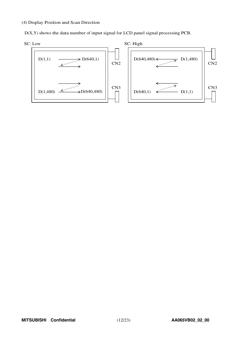### (4) Display Position and Scan Direction



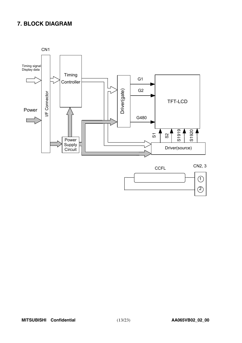# **7. BLOCK DIAGRAM**



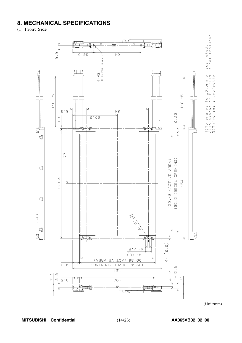# **8. MECHANICAL SPECIFICATIONS**

(1) Front Side



(Unit:mm)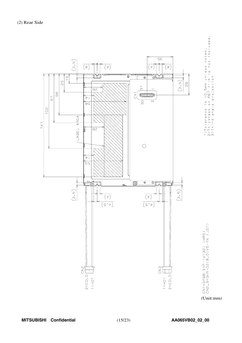

1)Tolerance is ±O.5mm unless noted.<br>2)Thickness of PET film is not included.<br>3)Third angle projection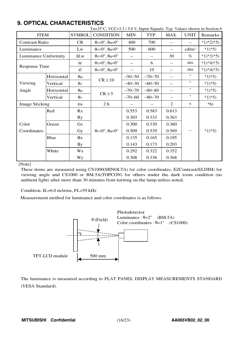# **9. OPTICAL CHARACTERISTICS**

|                       |            |                       | Ta=25°C, VCC=3.3/5.0 V, Input Signals: Typ. Values shown in Section 6 |          |            |                   |                   |            |
|-----------------------|------------|-----------------------|-----------------------------------------------------------------------|----------|------------|-------------------|-------------------|------------|
| <b>ITEM</b>           |            | <b>SYMBOL</b>         | <b>CONDITION</b>                                                      | MIN.     | TYP.       | MAX.              | <b>UNIT</b>       | Remarks    |
| <b>Contrast Ratio</b> |            | <b>CR</b>             | $\theta$ <sub>V</sub> =0°, $\theta$ <sub>H</sub> =0°                  | 400      | 700        | $-$               | $-$               | $*1)*2*5)$ |
| Luminance             |            | Lw                    | $\theta_V = 0^\circ$ , $\theta_H = 0^\circ$                           | 500      | 600        | $-$               | cd/m <sup>2</sup> | $*1*5$     |
| Luminance Uniformity  |            | $\Delta L$ w          | $\theta$ v=0°, $\theta$ H=0°                                          | $-$      | $-$        | 30                | $\%$              | $*1)*3*5)$ |
| <b>Response Time</b>  |            | tr                    | $\theta$ <sub>V</sub> = $0^\circ$ , $\theta$ <sub>H</sub> = $0^\circ$ | $-$ -    | 6          | $-$               | ms                | $*1)*4*5$  |
|                       |            | tf                    | $\theta$ <sub>V</sub> = $0^\circ$ , $\theta$ <sub>H</sub> = $0^\circ$ | $-$      | 19         | $\qquad \qquad -$ | ms                | $*1)*4*5$  |
|                       | Horizontal | $\theta_{\rm H}$      |                                                                       | $-50-50$ | $-70 - 70$ | $-$               | $\circ$           | $*1)*5)$   |
| Viewing               | Vertical   | $\theta$ <sub>V</sub> | $CR \ge 10$                                                           | $-40-30$ | $-60-50$   | $-$               | $\circ$           | $*1)*5)$   |
| Angle                 | Horizontal | $\theta_{\rm H}$      |                                                                       | $-70-70$ | $-80 - 80$ | $-$               | $\circ$           | $*1)*5)$   |
|                       | Vertical   | $\theta$ v            | $CR \geq 5$                                                           | $-70-60$ | $-80 - 70$ | $\qquad \qquad -$ | $\circ$           | $*1)*5)$   |
| <b>Image Sticking</b> |            | tis                   | 2 <sub>h</sub>                                                        |          |            | 2                 | S                 | $*6)$      |
|                       | Red        | Rx                    |                                                                       | 0.553    | 0.583      | 0.613             |                   |            |
|                       |            | <b>Ry</b>             |                                                                       | 0.303    | 0.333      | 0.363             |                   |            |
| Color                 | Green      | $G_{X}$               |                                                                       | 0.300    | 0.330      | 0.360             |                   |            |
| Coordinates           |            | Gy                    | $\theta$ <sub>V</sub> = $0^\circ$ , $\theta$ <sub>H</sub> = $0^\circ$ | 0.509    | 0.539      | 0.569             | $- -$             | $*1)*5)$   |
|                       | Blue       | Bx                    |                                                                       | 0.135    | 0.165      | 0.195             |                   |            |
|                       |            | <b>By</b>             |                                                                       | 0.143    | 0.173      | 0.203             |                   |            |
|                       | White      | Wx                    |                                                                       | 0.292    | 0.322      | 0.352             |                   |            |
|                       |            | Wy                    |                                                                       | 0.308    | 0.338      | 0.368             |                   |            |

### [Note]

These items are measured using CS1000(MINOLTA) for color coordinates, EZContrast(ELDIM) for viewing angle and CS1000 or BM-5A(TOPCON) for others under the dark room condition (no ambient light) after more than 30 minutes from turning on the lamp unless noted.

Condition: IL=6.0 mArms, FL=59 kHz

Measurement method for luminance and color coordinates is as follows.



The luminance is measured according to FLAT PANEL DISPLAY MEASUREMENTS STANDARD (VESA Standard).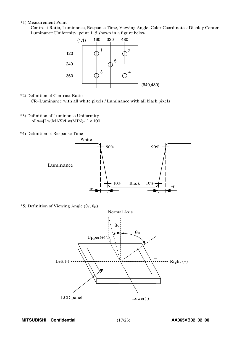### \*1) Measurement Point

Contrast Ratio, Luminance, Response Time, Viewing Angle, Color Coordinates: Display Center Luminanc<sup>e</sup> Uniformity: point <sup>1</sup>∼<sup>5</sup> shown in a figure belo<sup>w</sup>



\*2) Definition of Contrast Ratio

CR=Luminance with all white pixels / Luminance with all black pixels

- \*3) Definition of Luminance Uniformity  $\Delta$ Lw=[Lw(MAX)/Lw(MIN)-1]  $\times$  100
- \*4) Definition of Response Time



 $*$ 5) Definition of Viewing Angle (θ<sub>V</sub>, θ<sub>H</sub>)

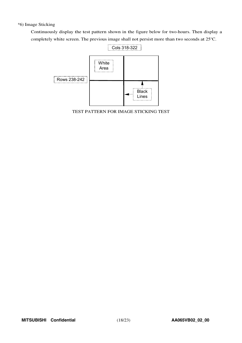# \*6) Image Sticking

Continuously display the test pattern shown in the figure below for two-hours. Then display a completely white screen. The previous image shall not persist more than two seconds at 25°C.



TEST PATTERN FOR IMAGE STICKING TEST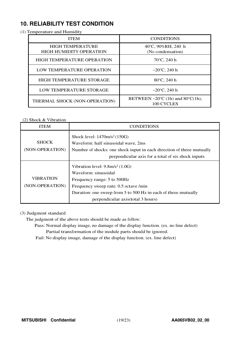# **10. RELIABILITY TEST CONDITION**

(1) Temperature and Humidity

| <b>ITEM</b>                                               | <b>CONDITIONS</b>                                                   |
|-----------------------------------------------------------|---------------------------------------------------------------------|
| <b>HIGH TEMPERATURE</b><br><b>HIGH HUMIDITY OPERATION</b> | 40°C, 90%RH, 240 h<br>(No condensation)                             |
| <b>HIGH TEMPERATURE OPERATION</b>                         | $70^{\circ}$ C, 240 h                                               |
| LOW TEMPERATURE OPERATION                                 | $-20^{\circ}$ C, 240 h                                              |
| HIGH TEMPERATURE STORAGE                                  | 80°C, 240 h                                                         |
| LOW TEMPERATURE STORAGE                                   | $-20^{\circ}$ C, 240 h                                              |
| THERMAL SHOCK (NON-OPERATION)                             | BETWEEN $-20^{\circ}$ C (1h) and 80 $^{\circ}$ C(1h),<br>100 CYCLES |

# (2) Shock & Vibration

| <b>ITEM</b>                         | <b>CONDITIONS</b>                                                                                                                                                                                                                                  |
|-------------------------------------|----------------------------------------------------------------------------------------------------------------------------------------------------------------------------------------------------------------------------------------------------|
| <b>SHOCK</b><br>(NON-OPERATION)     | Shock level: $1470m/s^2(150G)$<br>Waveform: half sinusoidal wave, 2ms<br>Number of shocks: one shock input in each direction of three mutually<br>perpendicular axis for a total of six shock inputs                                               |
| <b>VIBRATION</b><br>(NON-OPERATION) | Vibration level: $9.8 \text{m/s}^2$ (1.0G)<br>Waveform: sinusoidal<br>Frequency range: 5 to 500Hz<br>Frequency sweep rate: 0.5 octave /min<br>Duration: one sweep from 5 to 500 Hz in each of three mutually<br>perpendicular axis (total 3 hours) |

# (3) Judgment standard

The judgment of the above tests should be made as follow:

Pass: Normal display image, no damage of the display function. (ex. no line defect) Partial transformation of the module parts should be ignored.

Fail: No display image, damage of the display function. (ex. line defect)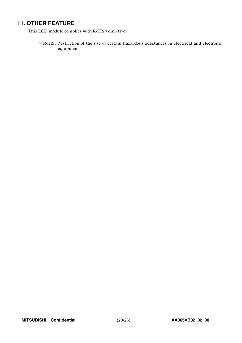# **11. OTHER FEATURE**

This LCD module complies with RoHS\*) directive.

\*) RoHS: Restriction of the use of certain hazardous substances in electrical and electronic equipment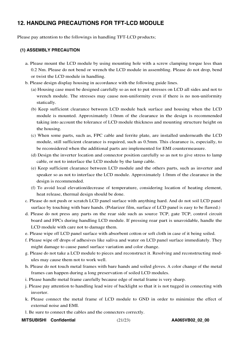# **12. HANDLING PRECAUTIONS FOR TFT-LCD MODULE**

Please pay attention to the followings in handling TFT-LCD products;

# **(1) ASSEMBLY PRECAUTION**

- a. Please mount the LCD module by using mounting hole with a screw clamping torque less than 0.2 Nm. Please do not bend or wrench the LCD module in assembling. Please do not drop, bend or twist the LCD module in handling.
- b. Please design display housing in accordance with the following guide lines.
	- (a) Housing case must be designed carefully so as not to put stresses on LCD all sides and not to wrench module. The stresses may cause non-uniformity even if there is no non-uniformity statically.
	- (b) Keep sufficient clearance between LCD module back surface and housing when the LCD module is mounted. Approximately 1.0mm of the clearance in the design is recommended taking into account the tolerance of LCD module thickness and mounting structure height on the housing.
	- (c) When some parts, such as, FPC cable and ferrite plate, are installed underneath the LCD module, still sufficient clearance is required, such as 0.5mm. This clearance is, especially, to be reconsidered when the additional parts are implemented for EMI countermeasure.
	- (d) Design the inverter location and connector position carefully so as not to give stress to lamp cable, or not to interface the LCD module by the lamp cable.
	- (e) Keep sufficient clearance between LCD module and the others parts, such as inverter and speaker so as not to interface the LCD module. Approximately 1.0mm of the clearance in the design is recommended.
	- (f) To avoid local elevation/decrease of temperature, considering location of heating element, heat release, thermal design should be done.
- c. Please do not push or scratch LCD panel surface with anything hard. And do not soil LCD panel surface by touching with bare hands. (Polarizer film, surface of LCD panel is easy to be flawed.)
- d. Please do not press any parts on the rear side such as source TCP, gate TCP, control circuit board and FPCs during handling LCD module. If pressing rear part is unavoidable, handle the LCD module with care not to damage them.
- e. Please wipe off LCD panel surface with absorbent cotton or soft cloth in case of it being soiled.
- f. Please wipe off drops of adhesives like saliva and water on LCD panel surface immediately. They might damage to cause panel surface variation and color change.
- g. Please do not take a LCD module to pieces and reconstruct it. Resolving and reconstructing modules may cause them not to work well.
- h. Please do not touch metal frames with bare hands and soiled gloves. A color change of the metal frames can happen during a long preservation of soiled LCD modules.
- i. Please handle metal frame carefully because edge of metal frame is very sharp.
- j. Please pay attention to handling lead wire of backlight so that it is not tugged in connecting with inverter.
- k. Please connect the metal frame of LCD module to GND in order to minimize the effect of external noise and EMI.
- l. Be sure to connect the cables and the connecters correctly.
- **MITSUBISHI Confidential** (21/23) **AA065VB02\_02\_00**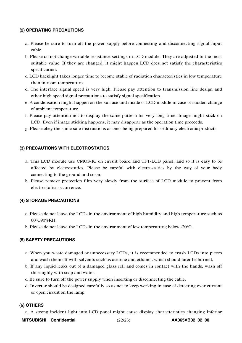## **(2) OPERATING PRECAUTIONS**

- a. Please be sure to turn off the power supply before connecting and disconnecting signal input cable.
- b. Please do not change variable resistance settings in LCD module. They are adjusted to the most suitable value. If they are changed, it might happen LCD does not satisfy the characteristics specification.
- c. LCD backlight takes longer time to become stable of radiation characteristics in low temperature than in room temperature.
- d. The interface signal speed is very high. Please pay attention to transmission line design and other high speed signal precautions to satisfy signal specification.
- e. A condensation might happen on the surface and inside of LCD module in case of sudden change of ambient temperature.
- f. Please pay attention not to display the same pattern for very long time. Image might stick on LCD. Even if image sticking happens, it may disappear as the operation time proceeds.
- g. Please obey the same safe instructions as ones being prepared for ordinary electronic products.

### **(3) PRECAUTIONS WITH ELECTROSTATICS**

- a. This LCD module use CMOS-IC on circuit board and TFT-LCD panel, and so it is easy to be affected by electrostatics. Please be careful with electrostatics by the way of your body connecting to the ground and so on.
- b. Please remove protection film very slowly from the surface of LCD module to prevent from electrostatics occurrence.

### **(4) STORAGE PRECAUTIONS**

- a. Please do not leave the LCDs in the environment of high humidity and high temperature such as 60°C90%RH.
- b. Please do not leave the LCDs in the environment of low temperature; below -20°C.

### **(5) SAFETY PRECAUTIONS**

- a. When you waste damaged or unnecessary LCDs, it is recommended to crush LCDs into pieces and wash them off with solvents such as acetone and ethanol, which should later be burned.
- b. If any liquid leaks out of a damaged glass cell and comes in contact with the hands, wash off thoroughly with soap and water.
- c. Be sure to turn off the power supply when inserting or disconnecting the cable.
- d. Inverter should be designed carefully so as not to keep working in case of detecting over current or open circuit on the lamp.

### **(6) OTHERS**

a. A strong incident light into LCD panel might cause display characteristics changing inferior

**MITSUBISHI Confidential** (22/23) **AA065VB02\_02\_00**